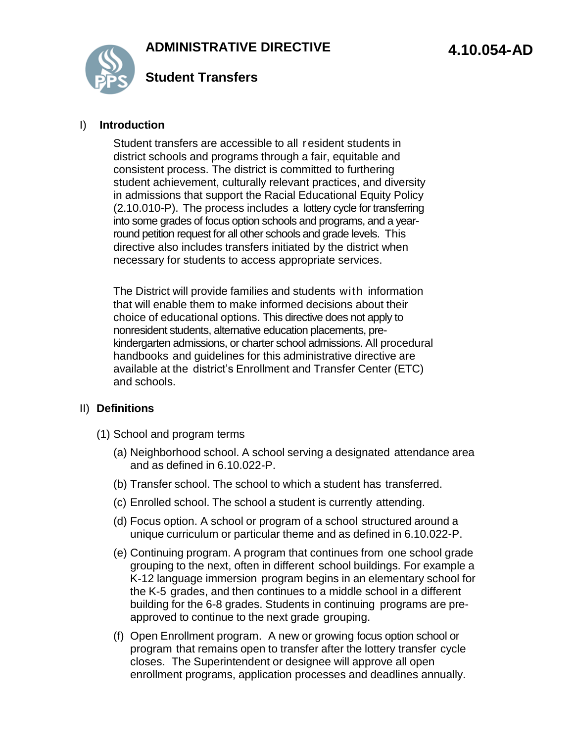

#### I) **Introduction**

Student transfers are accessible to all resident students in district schools and programs through a fair, equitable and consistent process. The district is committed to furthering student achievement, culturally relevant practices, and diversity in admissions that support the Racial Educational Equity Policy (2.10.010-P). The process includes a lottery cycle for transferring into some grades of focus option schools and programs, and a yearround petition request for all other schools and grade levels. This directive also includes transfers initiated by the district when necessary for students to access appropriate services.

The District will provide families and students with information that will enable them to make informed decisions about their choice of educational options. This directive does not apply to nonresident students, alternative education placements, prekindergarten admissions, or charter school admissions. All procedural handbooks and guidelines for this administrative directive are available at the district's Enrollment and Transfer Center (ETC) and schools.

### II) **Definitions**

- (1) School and program terms
	- (a) Neighborhood school. A school serving a designated attendance area and as defined in 6.10.022-P.
	- (b) Transfer school. The school to which a student has transferred.
	- (c) Enrolled school. The school a student is currently attending.
	- (d) Focus option. A school or program of a school structured around a unique curriculum or particular theme and as defined in 6.10.022-P.
	- (e) Continuing program. A program that continues from one school grade grouping to the next, often in different school buildings. For example a K-12 language immersion program begins in an elementary school for the K-5 grades, and then continues to a middle school in a different building for the 6-8 grades. Students in continuing programs are preapproved to continue to the next grade grouping.
	- (f) Open Enrollment program. A new or growing focus option school or program that remains open to transfer after the lottery transfer cycle closes. The Superintendent or designee will approve all open enrollment programs, application processes and deadlines annually.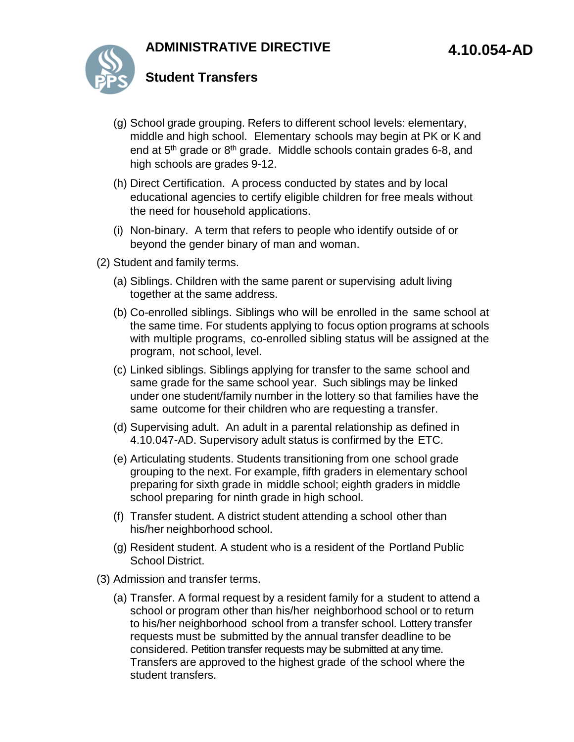# **ADMINISTRATIVE DIRECTIVE**



## **Student Transfers**

- (g) School grade grouping. Refers to different school levels: elementary, middle and high school. Elementary schools may begin at PK or K and end at 5<sup>th</sup> grade or 8<sup>th</sup> grade. Middle schools contain grades 6-8, and high schools are grades 9-12.
- (h) Direct Certification. A process conducted by states and by local educational agencies to certify eligible children for free meals without the need for household applications.
- (i) Non-binary. A term that refers to people who identify outside of or beyond the gender binary of man and woman.
- (2) Student and family terms.
	- (a) Siblings. Children with the same parent or supervising adult living together at the same address.
	- (b) Co-enrolled siblings. Siblings who will be enrolled in the same school at the same time. For students applying to focus option programs at schools with multiple programs, co-enrolled sibling status will be assigned at the program, not school, level.
	- (c) Linked siblings. Siblings applying for transfer to the same school and same grade for the same school year. Such siblings may be linked under one student/family number in the lottery so that families have the same outcome for their children who are requesting a transfer.
	- (d) Supervising adult. An adult in a parental relationship as defined in 4.10.047-AD. Supervisory adult status is confirmed by the ETC.
	- (e) Articulating students. Students transitioning from one school grade grouping to the next. For example, fifth graders in elementary school preparing for sixth grade in middle school; eighth graders in middle school preparing for ninth grade in high school.
	- (f) Transfer student. A district student attending a school other than his/her neighborhood school.
	- (g) Resident student. A student who is a resident of the Portland Public School District.
- (3) Admission and transfer terms.
	- (a) Transfer. A formal request by a resident family for a student to attend a school or program other than his/her neighborhood school or to return to his/her neighborhood school from a transfer school. Lottery transfer requests must be submitted by the annual transfer deadline to be considered. Petition transfer requests may be submitted at any time. Transfers are approved to the highest grade of the school where the student transfers.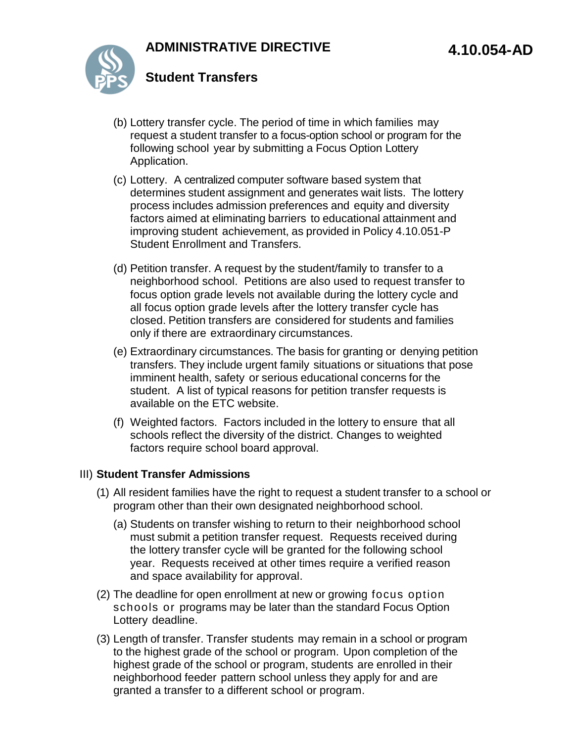

- (b) Lottery transfer cycle. The period of time in which families may request a student transfer to a focus-option school or program for the following school year by submitting a Focus Option Lottery Application.
- (c) Lottery. A centralized computer software based system that determines student assignment and generates wait lists. The lottery process includes admission preferences and equity and diversity factors aimed at eliminating barriers to educational attainment and improving student achievement, as provided in Policy 4.10.051-P Student Enrollment and Transfers.
- (d) Petition transfer. A request by the student/family to transfer to a neighborhood school. Petitions are also used to request transfer to focus option grade levels not available during the lottery cycle and all focus option grade levels after the lottery transfer cycle has closed. Petition transfers are considered for students and families only if there are extraordinary circumstances.
- (e) Extraordinary circumstances. The basis for granting or denying petition transfers. They include urgent family situations or situations that pose imminent health, safety or serious educational concerns for the student. A list of typical reasons for petition transfer requests is available on the ETC website.
- (f) Weighted factors. Factors included in the lottery to ensure that all schools reflect the diversity of the district. Changes to weighted factors require school board approval.

### III) **Student Transfer Admissions**

- (1) All resident families have the right to request a student transfer to a school or program other than their own designated neighborhood school.
	- (a) Students on transfer wishing to return to their neighborhood school must submit a petition transfer request. Requests received during the lottery transfer cycle will be granted for the following school year. Requests received at other times require a verified reason and space availability for approval.
- (2) The deadline for open enrollment at new or growing focus option schools or programs may be later than the standard Focus Option Lottery deadline.
- (3) Length of transfer. Transfer students may remain in a school or program to the highest grade of the school or program. Upon completion of the highest grade of the school or program, students are enrolled in their neighborhood feeder pattern school unless they apply for and are granted a transfer to a different school or program.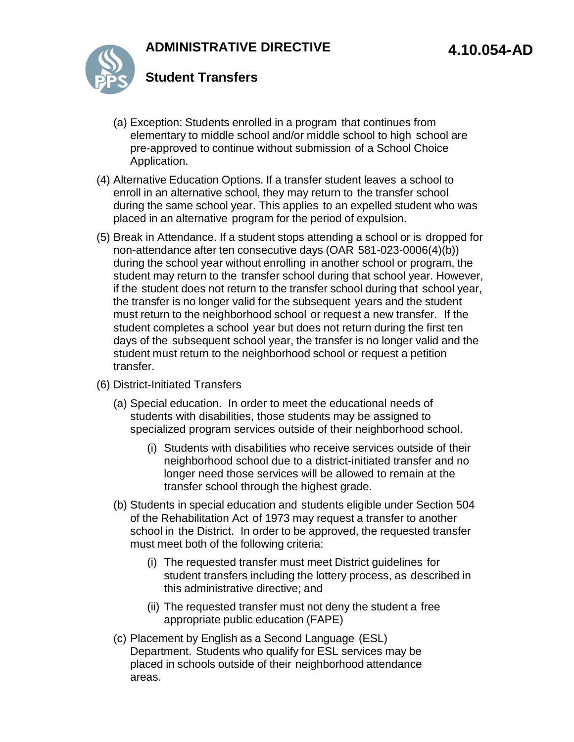

- (a) Exception: Students enrolled in a program that continues from elementary to middle school and/or middle school to high school are pre-approved to continue without submission of a School Choice Application.
- (4) Alternative Education Options. If a transfer student leaves a school to enroll in an alternative school, they may return to the transfer school during the same school year. This applies to an expelled student who was placed in an alternative program for the period of expulsion.
- (5) Break in Attendance. If a student stops attending a school or is dropped for non-attendance after ten consecutive days (OAR 581-023-0006(4)(b)) during the school year without enrolling in another school or program, the student may return to the transfer school during that school year. However, if the student does not return to the transfer school during that school year, the transfer is no longer valid for the subsequent years and the student must return to the neighborhood school or request a new transfer. If the student completes a school year but does not return during the first ten days of the subsequent school year, the transfer is no longer valid and the student must return to the neighborhood school or request a petition transfer.
- (6) District-Initiated Transfers
	- (a) Special education. In order to meet the educational needs of students with disabilities, those students may be assigned to specialized program services outside of their neighborhood school.
		- (i) Students with disabilities who receive services outside of their neighborhood school due to a district-initiated transfer and no longer need those services will be allowed to remain at the transfer school through the highest grade.
	- (b) Students in special education and students eligible under Section 504 of the Rehabilitation Act of 1973 may request a transfer to another school in the District. In order to be approved, the requested transfer must meet both of the following criteria:
		- (i) The requested transfer must meet District guidelines for student transfers including the lottery process, as described in this administrative directive; and
		- (ii) The requested transfer must not deny the student a free appropriate public education (FAPE)
	- (c) Placement by English as a Second Language (ESL) Department. Students who qualify for ESL services may be placed in schools outside of their neighborhood attendance areas.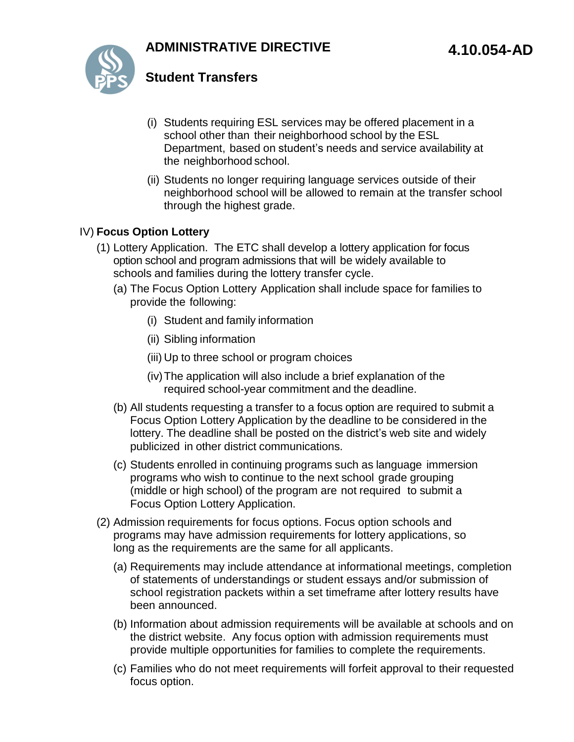# **ADMINISTRATIVE DIRECTIVE**



## **Student Transfers**

- (i) Students requiring ESL services may be offered placement in a school other than their neighborhood school by the ESL Department, based on student's needs and service availability at the neighborhood school.
- (ii) Students no longer requiring language services outside of their neighborhood school will be allowed to remain at the transfer school through the highest grade.

### IV) **Focus Option Lottery**

- (1) Lottery Application. The ETC shall develop a lottery application for focus option school and program admissions that will be widely available to schools and families during the lottery transfer cycle.
	- (a) The Focus Option Lottery Application shall include space for families to provide the following:
		- (i) Student and family information
		- (ii) Sibling information
		- (iii) Up to three school or program choices
		- (iv)The application will also include a brief explanation of the required school-year commitment and the deadline.
	- (b) All students requesting a transfer to a focus option are required to submit a Focus Option Lottery Application by the deadline to be considered in the lottery. The deadline shall be posted on the district's web site and widely publicized in other district communications.
	- (c) Students enrolled in continuing programs such as language immersion programs who wish to continue to the next school grade grouping (middle or high school) of the program are not required to submit a Focus Option Lottery Application.
- (2) Admission requirements for focus options. Focus option schools and programs may have admission requirements for lottery applications, so long as the requirements are the same for all applicants.
	- (a) Requirements may include attendance at informational meetings, completion of statements of understandings or student essays and/or submission of school registration packets within a set timeframe after lottery results have been announced.
	- (b) Information about admission requirements will be available at schools and on the district website. Any focus option with admission requirements must provide multiple opportunities for families to complete the requirements.
	- (c) Families who do not meet requirements will forfeit approval to their requested focus option.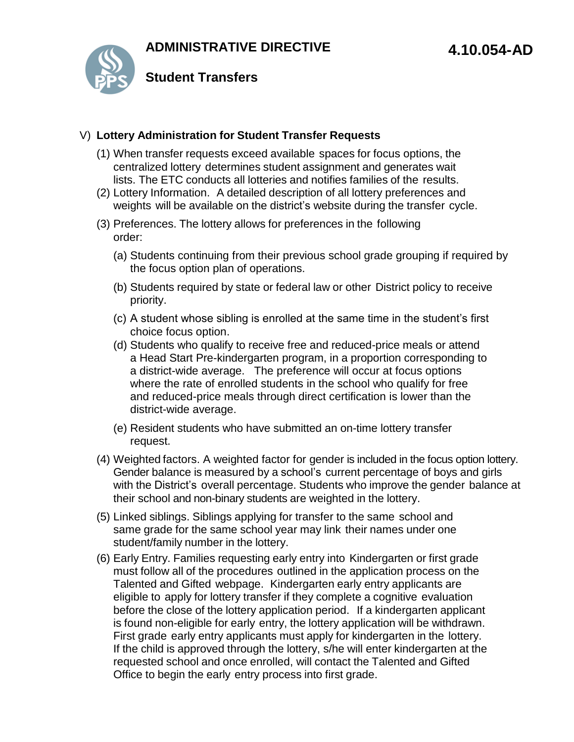

### V) **Lottery Administration for Student Transfer Requests**

- (1) When transfer requests exceed available spaces for focus options, the centralized lottery determines student assignment and generates wait lists. The ETC conducts all lotteries and notifies families of the results.
- (2) Lottery Information. A detailed description of all lottery preferences and weights will be available on the district's website during the transfer cycle.
- (3) Preferences. The lottery allows for preferences in the following order:
	- (a) Students continuing from their previous school grade grouping if required by the focus option plan of operations.
	- (b) Students required by state or federal law or other District policy to receive priority.
	- (c) A student whose sibling is enrolled at the same time in the student's first choice focus option.
	- (d) Students who qualify to receive free and reduced-price meals or attend a Head Start Pre-kindergarten program, in a proportion corresponding to a district-wide average. The preference will occur at focus options where the rate of enrolled students in the school who qualify for free and reduced-price meals through direct certification is lower than the district-wide average.
	- (e) Resident students who have submitted an on-time lottery transfer request.
- (4) Weighted factors. A weighted factor for gender is included in the focus option lottery. Gender balance is measured by a school's current percentage of boys and girls with the District's overall percentage. Students who improve the gender balance at their school and non-binary students are weighted in the lottery.
- (5) Linked siblings. Siblings applying for transfer to the same school and same grade for the same school year may link their names under one student/family number in the lottery.
- (6) Early Entry. Families requesting early entry into Kindergarten or first grade must follow all of the procedures outlined in the application process on the Talented and Gifted webpage. Kindergarten early entry applicants are eligible to apply for lottery transfer if they complete a cognitive evaluation before the close of the lottery application period. If a kindergarten applicant is found non-eligible for early entry, the lottery application will be withdrawn. First grade early entry applicants must apply for kindergarten in the lottery. If the child is approved through the lottery, s/he will enter kindergarten at the requested school and once enrolled, will contact the Talented and Gifted Office to begin the early entry process into first grade.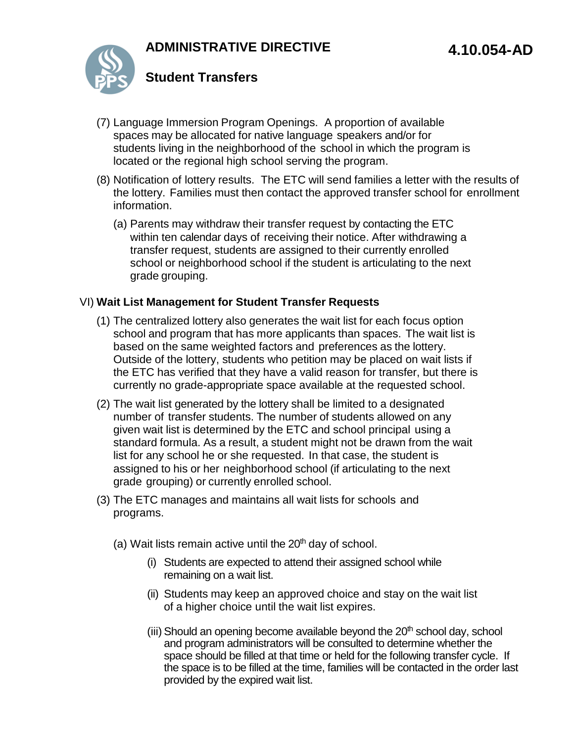

- (7) Language Immersion Program Openings. A proportion of available spaces may be allocated for native language speakers and/or for students living in the neighborhood of the school in which the program is located or the regional high school serving the program.
- (8) Notification of lottery results. The ETC will send families a letter with the results of the lottery. Families must then contact the approved transfer school for enrollment information.
	- (a) Parents may withdraw their transfer request by contacting the ETC within ten calendar days of receiving their notice. After withdrawing a transfer request, students are assigned to their currently enrolled school or neighborhood school if the student is articulating to the next grade grouping.

### VI) **Wait List Management for Student Transfer Requests**

- (1) The centralized lottery also generates the wait list for each focus option school and program that has more applicants than spaces. The wait list is based on the same weighted factors and preferences as the lottery. Outside of the lottery, students who petition may be placed on wait lists if the ETC has verified that they have a valid reason for transfer, but there is currently no grade-appropriate space available at the requested school.
- (2) The wait list generated by the lottery shall be limited to a designated number of transfer students. The number of students allowed on any given wait list is determined by the ETC and school principal using a standard formula. As a result, a student might not be drawn from the wait list for any school he or she requested. In that case, the student is assigned to his or her neighborhood school (if articulating to the next grade grouping) or currently enrolled school.
- (3) The ETC manages and maintains all wait lists for schools and programs.
	- (a) Wait lists remain active until the  $20<sup>th</sup>$  day of school.
		- (i) Students are expected to attend their assigned school while remaining on a wait list.
		- (ii) Students may keep an approved choice and stay on the wait list of a higher choice until the wait list expires.
		- (iii) Should an opening become available beyond the 20<sup>th</sup> school day, school and program administrators will be consulted to determine whether the space should be filled at that time or held for the following transfer cycle. If the space is to be filled at the time, families will be contacted in the order last provided by the expired wait list.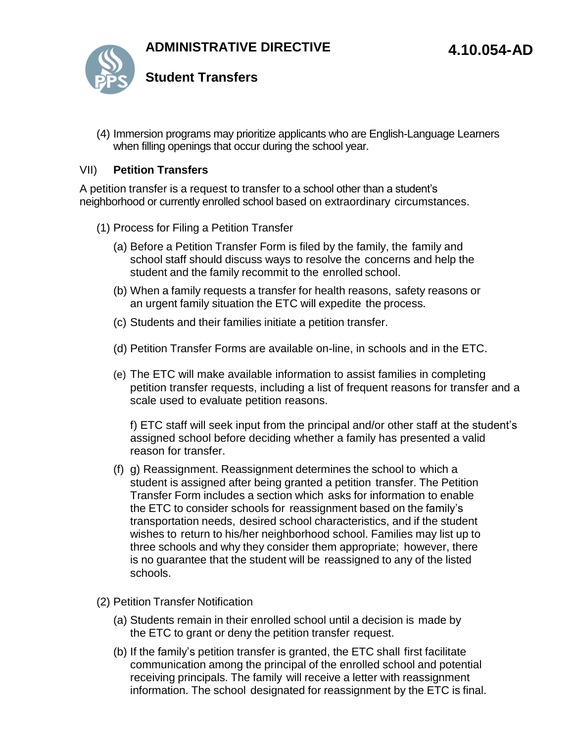

(4) Immersion programs may prioritize applicants who are English-Language Learners when filling openings that occur during the school year.

### VII) **Petition Transfers**

A petition transfer is a request to transfer to a school other than a student's neighborhood or currently enrolled school based on extraordinary circumstances.

- (1) Process for Filing a Petition Transfer
	- (a) Before a Petition Transfer Form is filed by the family, the family and school staff should discuss ways to resolve the concerns and help the student and the family recommit to the enrolled school.
	- (b) When a family requests a transfer for health reasons, safety reasons or an urgent family situation the ETC will expedite the process.
	- (c) Students and their families initiate a petition transfer.
	- (d) Petition Transfer Forms are available on-line, in schools and in the ETC.
	- (e) The ETC will make available information to assist families in completing petition transfer requests, including a list of frequent reasons for transfer and a scale used to evaluate petition reasons.

f) ETC staff will seek input from the principal and/or other staff at the student's assigned school before deciding whether a family has presented a valid reason for transfer.

- (f) g) Reassignment. Reassignment determines the school to which a student is assigned after being granted a petition transfer. The Petition Transfer Form includes a section which asks for information to enable the ETC to consider schools for reassignment based on the family's transportation needs, desired school characteristics, and if the student wishes to return to his/her neighborhood school. Families may list up to three schools and why they consider them appropriate; however, there is no guarantee that the student will be reassigned to any of the listed schools.
- (2) Petition Transfer Notification
	- (a) Students remain in their enrolled school until a decision is made by the ETC to grant or deny the petition transfer request.
	- (b) If the family's petition transfer is granted, the ETC shall first facilitate communication among the principal of the enrolled school and potential receiving principals. The family will receive a letter with reassignment information. The school designated for reassignment by the ETC is final.